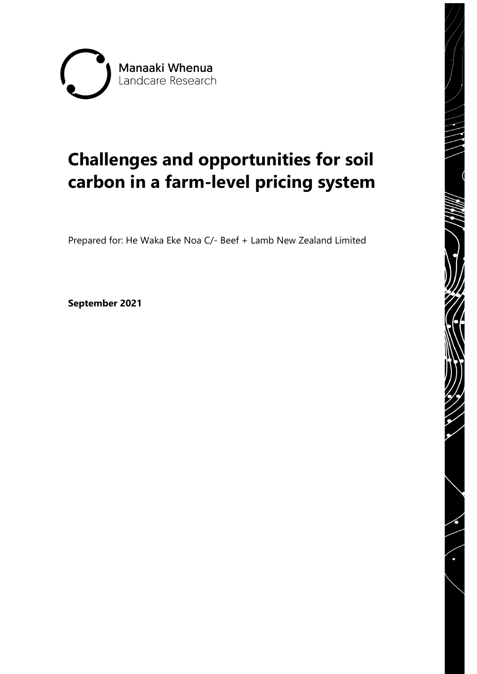

# **Challenges and opportunities for soil carbon in a farm-level pricing system**

Prepared for: He Waka Eke Noa C/- Beef + Lamb New Zealand Limited

**September 2021**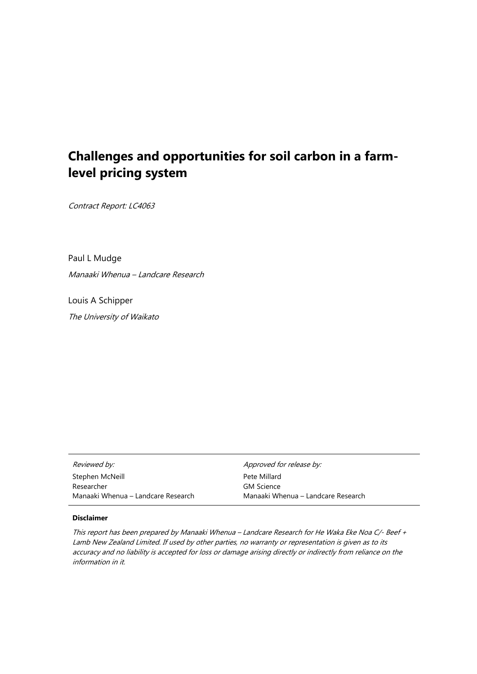# **Challenges and opportunities for soil carbon in a farmlevel pricing system**

Contract Report: LC4063

Paul L Mudge Manaaki Whenua – Landcare Research

Louis A Schipper The University of Waikato

| <i>Reviewed by:</i>                | Approved for release by:           |
|------------------------------------|------------------------------------|
| Stephen McNeill                    | Pete Millard                       |
| Researcher                         | <b>GM Science</b>                  |
| Manaaki Whenua – Landcare Research | Manaaki Whenua – Landcare Research |

#### **Disclaimer**

This report has been prepared by Manaaki Whenua – Landcare Research for He Waka Eke Noa C/- Beef + Lamb New Zealand Limited. If used by other parties, no warranty or representation is given as to its accuracy and no liability is accepted for loss or damage arising directly or indirectly from reliance on the information in it.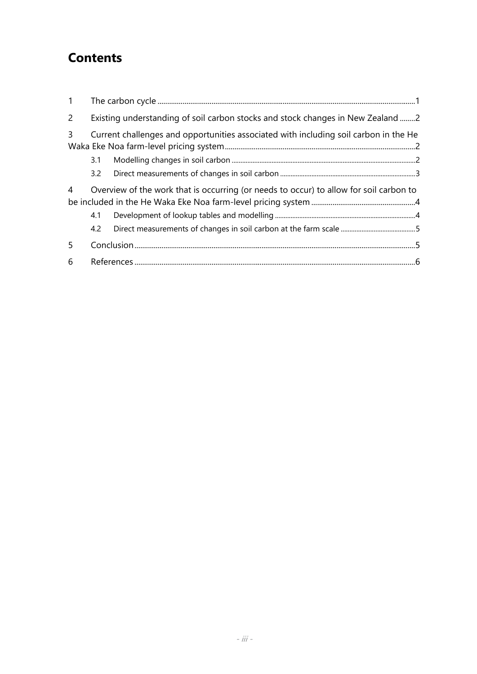# **Contents**

| $\mathbf{1}$   |                                                                                 |                                                                                        |  |
|----------------|---------------------------------------------------------------------------------|----------------------------------------------------------------------------------------|--|
| $\overline{2}$ | Existing understanding of soil carbon stocks and stock changes in New Zealand 2 |                                                                                        |  |
| 3              |                                                                                 | Current challenges and opportunities associated with including soil carbon in the He   |  |
|                | 3.1                                                                             |                                                                                        |  |
|                | 3.2                                                                             |                                                                                        |  |
| 4              |                                                                                 | Overview of the work that is occurring (or needs to occur) to allow for soil carbon to |  |
|                | 4.1                                                                             |                                                                                        |  |
|                | 4.2                                                                             |                                                                                        |  |
| 5 <sup>1</sup> |                                                                                 |                                                                                        |  |
| 6              |                                                                                 |                                                                                        |  |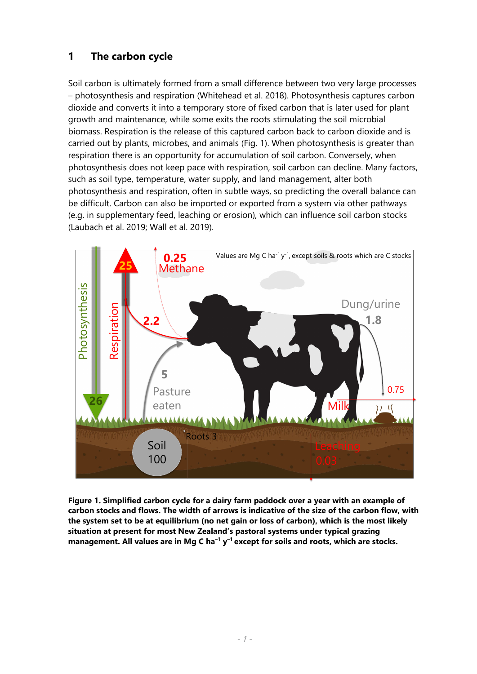# <span id="page-6-0"></span>**1 The carbon cycle**

Soil carbon is ultimately formed from a small difference between two very large processes – photosynthesis and respiration (Whitehead et al. 2018). Photosynthesis captures carbon dioxide and converts it into a temporary store of fixed carbon that is later used for plant growth and maintenance, while some exits the roots stimulating the soil microbial biomass. Respiration is the release of this captured carbon back to carbon dioxide and is carried out by plants, microbes, and animals (Fig. 1). When photosynthesis is greater than respiration there is an opportunity for accumulation of soil carbon. Conversely, when photosynthesis does not keep pace with respiration, soil carbon can decline. Many factors, such as soil type, temperature, water supply, and land management, alter both photosynthesis and respiration, often in subtle ways, so predicting the overall balance can be difficult. Carbon can also be imported or exported from a system via other pathways (e.g. in supplementary feed, leaching or erosion), which can influence soil carbon stocks (Laubach et al. 2019; Wall et al. 2019).



**Figure 1. Simplified carbon cycle for a dairy farm paddock over a year with an example of carbon stocks and flows. The width of arrows is indicative of the size of the carbon flow, with the system set to be at equilibrium (no net gain or loss of carbon), which is the most likely situation at present for most New Zealand's pastoral systems under typical grazing management. All values are in Mg C ha–1 y–1 except for soils and roots, which are stocks.**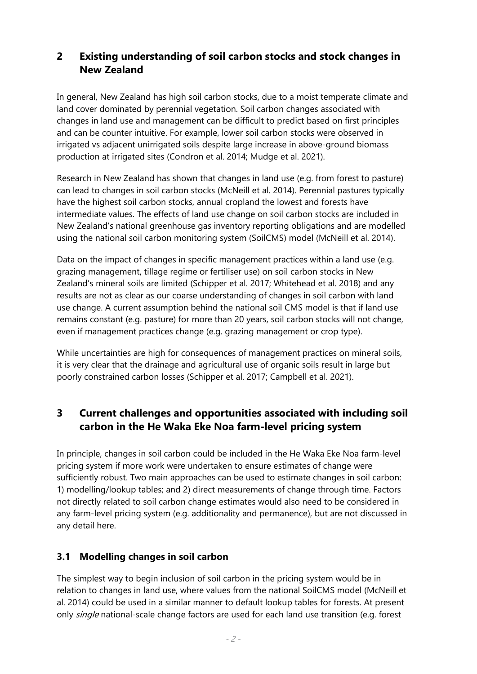# <span id="page-7-0"></span>**2 Existing understanding of soil carbon stocks and stock changes in New Zealand**

In general, New Zealand has high soil carbon stocks, due to a moist temperate climate and land cover dominated by perennial vegetation. Soil carbon changes associated with changes in land use and management can be difficult to predict based on first principles and can be counter intuitive. For example, lower soil carbon stocks were observed in irrigated vs adjacent unirrigated soils despite large increase in above-ground biomass production at irrigated sites (Condron et al. 2014; Mudge et al. 2021).

Research in New Zealand has shown that changes in land use (e.g. from forest to pasture) can lead to changes in soil carbon stocks (McNeill et al. 2014). Perennial pastures typically have the highest soil carbon stocks, annual cropland the lowest and forests have intermediate values. The effects of land use change on soil carbon stocks are included in New Zealand's national greenhouse gas inventory reporting obligations and are modelled using the national soil carbon monitoring system (SoilCMS) model (McNeill et al. 2014).

Data on the impact of changes in specific management practices within a land use (e.g. grazing management, tillage regime or fertiliser use) on soil carbon stocks in New Zealand's mineral soils are limited (Schipper et al. 2017; Whitehead et al. 2018) and any results are not as clear as our coarse understanding of changes in soil carbon with land use change. A current assumption behind the national soil CMS model is that if land use remains constant (e.g. pasture) for more than 20 years, soil carbon stocks will not change, even if management practices change (e.g. grazing management or crop type).

While uncertainties are high for consequences of management practices on mineral soils, it is very clear that the drainage and agricultural use of organic soils result in large but poorly constrained carbon losses (Schipper et al. 2017; Campbell et al. 2021).

# <span id="page-7-1"></span>**3 Current challenges and opportunities associated with including soil carbon in the He Waka Eke Noa farm-level pricing system**

In principle, changes in soil carbon could be included in the He Waka Eke Noa farm-level pricing system if more work were undertaken to ensure estimates of change were sufficiently robust. Two main approaches can be used to estimate changes in soil carbon: 1) modelling/lookup tables; and 2) direct measurements of change through time. Factors not directly related to soil carbon change estimates would also need to be considered in any farm-level pricing system (e.g. additionality and permanence), but are not discussed in any detail here.

### <span id="page-7-2"></span>**3.1 Modelling changes in soil carbon**

The simplest way to begin inclusion of soil carbon in the pricing system would be in relation to changes in land use, where values from the national SoilCMS model (McNeill et al. 2014) could be used in a similar manner to default lookup tables for forests. At present only single national-scale change factors are used for each land use transition (e.g. forest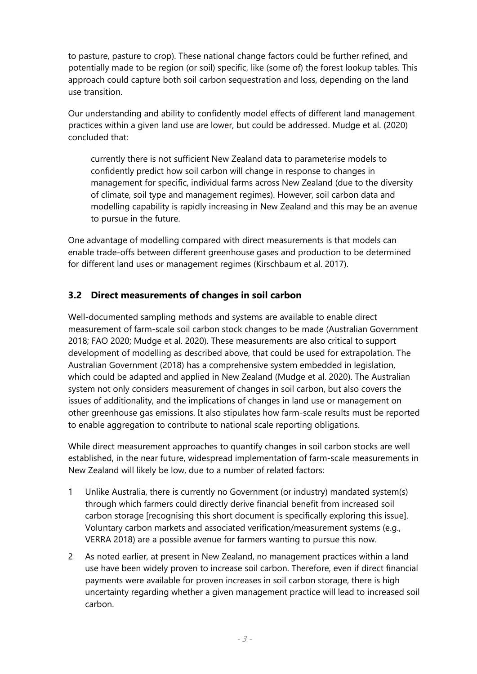to pasture, pasture to crop). These national change factors could be further refined, and potentially made to be region (or soil) specific, like (some of) the forest lookup tables. This approach could capture both soil carbon sequestration and loss, depending on the land use transition.

Our understanding and ability to confidently model effects of different land management practices within a given land use are lower, but could be addressed. Mudge et al. (2020) concluded that:

currently there is not sufficient New Zealand data to parameterise models to confidently predict how soil carbon will change in response to changes in management for specific, individual farms across New Zealand (due to the diversity of climate, soil type and management regimes). However, soil carbon data and modelling capability is rapidly increasing in New Zealand and this may be an avenue to pursue in the future.

One advantage of modelling compared with direct measurements is that models can enable trade-offs between different greenhouse gases and production to be determined for different land uses or management regimes (Kirschbaum et al. 2017).

## <span id="page-8-0"></span>**3.2 Direct measurements of changes in soil carbon**

Well-documented sampling methods and systems are available to enable direct measurement of farm-scale soil carbon stock changes to be made (Australian Government 2018; FAO 2020; Mudge et al. 2020). These measurements are also critical to support development of modelling as described above, that could be used for extrapolation. The Australian Government (2018) has a comprehensive system embedded in legislation, which could be adapted and applied in New Zealand (Mudge et al. 2020). The Australian system not only considers measurement of changes in soil carbon, but also covers the issues of additionality, and the implications of changes in land use or management on other greenhouse gas emissions. It also stipulates how farm-scale results must be reported to enable aggregation to contribute to national scale reporting obligations.

While direct measurement approaches to quantify changes in soil carbon stocks are well established, in the near future, widespread implementation of farm-scale measurements in New Zealand will likely be low, due to a number of related factors:

- 1 Unlike Australia, there is currently no Government (or industry) mandated system(s) through which farmers could directly derive financial benefit from increased soil carbon storage [recognising this short document is specifically exploring this issue]. Voluntary carbon markets and associated verification/measurement systems (e.g., VERRA 2018) are a possible avenue for farmers wanting to pursue this now.
- 2 As noted earlier, at present in New Zealand, no management practices within a land use have been widely proven to increase soil carbon. Therefore, even if direct financial payments were available for proven increases in soil carbon storage, there is high uncertainty regarding whether a given management practice will lead to increased soil carbon.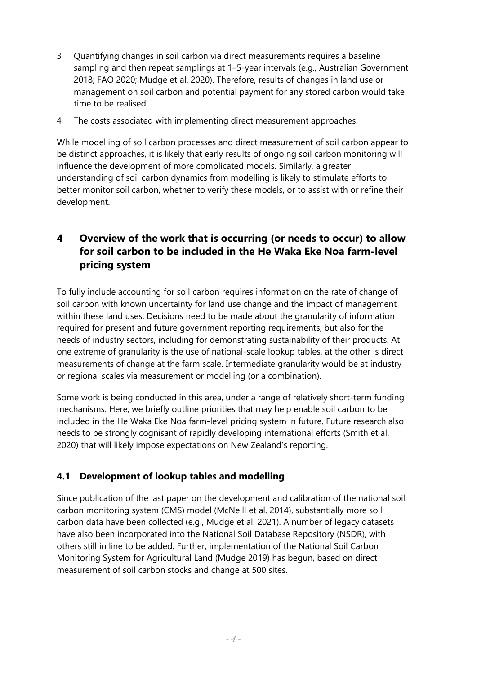- 3 Quantifying changes in soil carbon via direct measurements requires a baseline sampling and then repeat samplings at 1–5-year intervals (e.g., Australian Government 2018; FAO 2020; Mudge et al. 2020). Therefore, results of changes in land use or management on soil carbon and potential payment for any stored carbon would take time to be realised.
- 4 The costs associated with implementing direct measurement approaches.

While modelling of soil carbon processes and direct measurement of soil carbon appear to be distinct approaches, it is likely that early results of ongoing soil carbon monitoring will influence the development of more complicated models. Similarly, a greater understanding of soil carbon dynamics from modelling is likely to stimulate efforts to better monitor soil carbon, whether to verify these models, or to assist with or refine their development.

# <span id="page-9-0"></span>**4 Overview of the work that is occurring (or needs to occur) to allow for soil carbon to be included in the He Waka Eke Noa farm-level pricing system**

To fully include accounting for soil carbon requires information on the rate of change of soil carbon with known uncertainty for land use change and the impact of management within these land uses. Decisions need to be made about the granularity of information required for present and future government reporting requirements, but also for the needs of industry sectors, including for demonstrating sustainability of their products. At one extreme of granularity is the use of national-scale lookup tables, at the other is direct measurements of change at the farm scale. Intermediate granularity would be at industry or regional scales via measurement or modelling (or a combination).

Some work is being conducted in this area, under a range of relatively short-term funding mechanisms. Here, we briefly outline priorities that may help enable soil carbon to be included in the He Waka Eke Noa farm-level pricing system in future. Future research also needs to be strongly cognisant of rapidly developing international efforts (Smith et al. 2020) that will likely impose expectations on New Zealand's reporting.

# <span id="page-9-1"></span>**4.1 Development of lookup tables and modelling**

Since publication of the last paper on the development and calibration of the national soil carbon monitoring system (CMS) model (McNeill et al. 2014), substantially more soil carbon data have been collected (e.g., Mudge et al. 2021). A number of legacy datasets have also been incorporated into the National Soil Database Repository (NSDR), with others still in line to be added. Further, implementation of the National Soil Carbon Monitoring System for Agricultural Land (Mudge 2019) has begun, based on direct measurement of soil carbon stocks and change at 500 sites.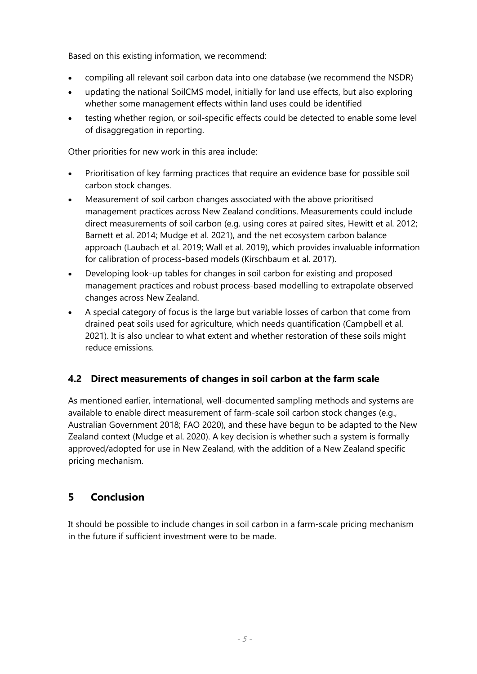Based on this existing information, we recommend:

- compiling all relevant soil carbon data into one database (we recommend the NSDR)
- updating the national SoilCMS model, initially for land use effects, but also exploring whether some management effects within land uses could be identified
- testing whether region, or soil-specific effects could be detected to enable some level of disaggregation in reporting.

Other priorities for new work in this area include:

- Prioritisation of key farming practices that require an evidence base for possible soil carbon stock changes.
- Measurement of soil carbon changes associated with the above prioritised management practices across New Zealand conditions. Measurements could include direct measurements of soil carbon (e.g. using cores at paired sites, Hewitt et al. 2012; Barnett et al. 2014; Mudge et al. 2021), and the net ecosystem carbon balance approach (Laubach et al. 2019; Wall et al. 2019), which provides invaluable information for calibration of process-based models (Kirschbaum et al. 2017).
- Developing look-up tables for changes in soil carbon for existing and proposed management practices and robust process-based modelling to extrapolate observed changes across New Zealand.
- A special category of focus is the large but variable losses of carbon that come from drained peat soils used for agriculture, which needs quantification (Campbell et al. 2021). It is also unclear to what extent and whether restoration of these soils might reduce emissions.

# <span id="page-10-0"></span>**4.2 Direct measurements of changes in soil carbon at the farm scale**

As mentioned earlier, international, well-documented sampling methods and systems are available to enable direct measurement of farm-scale soil carbon stock changes (e.g., Australian Government 2018; FAO 2020), and these have begun to be adapted to the New Zealand context (Mudge et al. 2020). A key decision is whether such a system is formally approved/adopted for use in New Zealand, with the addition of a New Zealand specific pricing mechanism.

# <span id="page-10-1"></span>**5 Conclusion**

It should be possible to include changes in soil carbon in a farm-scale pricing mechanism in the future if sufficient investment were to be made.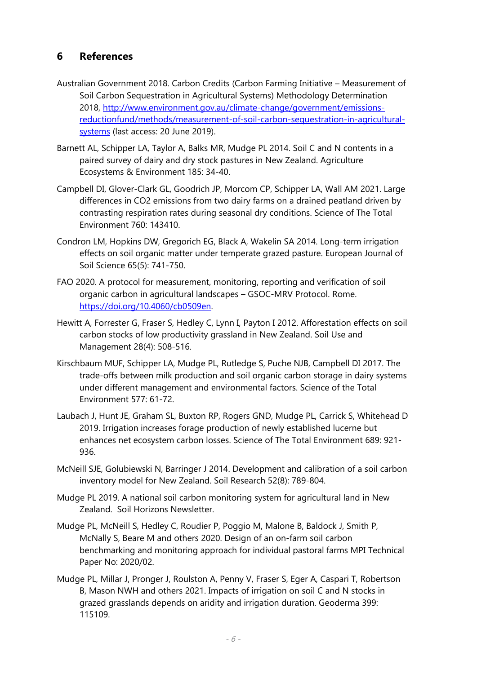# <span id="page-11-0"></span>**6 References**

- Australian Government 2018. Carbon Credits (Carbon Farming Initiative Measurement of Soil Carbon Sequestration in Agricultural Systems) Methodology Determination 2018, [http://www.environment.gov.au/climate-change/government/emissions](http://www.environment.gov.au/climate-change/government/emissions-reductionfund/methods/measurement-of-soil-carbon-sequestration-in-agricultural-systems)[reductionfund/methods/measurement-of-soil-carbon-sequestration-in-agricultural](http://www.environment.gov.au/climate-change/government/emissions-reductionfund/methods/measurement-of-soil-carbon-sequestration-in-agricultural-systems)[systems](http://www.environment.gov.au/climate-change/government/emissions-reductionfund/methods/measurement-of-soil-carbon-sequestration-in-agricultural-systems) (last access: 20 June 2019).
- Barnett AL, Schipper LA, Taylor A, Balks MR, Mudge PL 2014. Soil C and N contents in a paired survey of dairy and dry stock pastures in New Zealand. Agriculture Ecosystems & Environment 185: 34-40.
- Campbell DI, Glover-Clark GL, Goodrich JP, Morcom CP, Schipper LA, Wall AM 2021. Large differences in CO2 emissions from two dairy farms on a drained peatland driven by contrasting respiration rates during seasonal dry conditions. Science of The Total Environment 760: 143410.
- Condron LM, Hopkins DW, Gregorich EG, Black A, Wakelin SA 2014. Long-term irrigation effects on soil organic matter under temperate grazed pasture. European Journal of Soil Science 65(5): 741-750.
- FAO 2020. A protocol for measurement, monitoring, reporting and verification of soil organic carbon in agricultural landscapes – GSOC-MRV Protocol. Rome. [https://doi.org/10.4060/cb0509en.](https://doi.org/10.4060/cb0509en)
- Hewitt A, Forrester G, Fraser S, Hedley C, Lynn I, Payton I 2012. Afforestation effects on soil carbon stocks of low productivity grassland in New Zealand. Soil Use and Management 28(4): 508-516.
- Kirschbaum MUF, Schipper LA, Mudge PL, Rutledge S, Puche NJB, Campbell DI 2017. The trade-offs between milk production and soil organic carbon storage in dairy systems under different management and environmental factors. Science of the Total Environment 577: 61-72.
- Laubach J, Hunt JE, Graham SL, Buxton RP, Rogers GND, Mudge PL, Carrick S, Whitehead D 2019. Irrigation increases forage production of newly established lucerne but enhances net ecosystem carbon losses. Science of The Total Environment 689: 921- 936.
- McNeill SJE, Golubiewski N, Barringer J 2014. Development and calibration of a soil carbon inventory model for New Zealand. Soil Research 52(8): 789-804.
- Mudge PL 2019. A national soil carbon monitoring system for agricultural land in New Zealand. Soil Horizons Newsletter.
- Mudge PL, McNeill S, Hedley C, Roudier P, Poggio M, Malone B, Baldock J, Smith P, McNally S, Beare M and others 2020. Design of an on-farm soil carbon benchmarking and monitoring approach for individual pastoral farms MPI Technical Paper No: 2020/02.
- Mudge PL, Millar J, Pronger J, Roulston A, Penny V, Fraser S, Eger A, Caspari T, Robertson B, Mason NWH and others 2021. Impacts of irrigation on soil C and N stocks in grazed grasslands depends on aridity and irrigation duration. Geoderma 399: 115109.